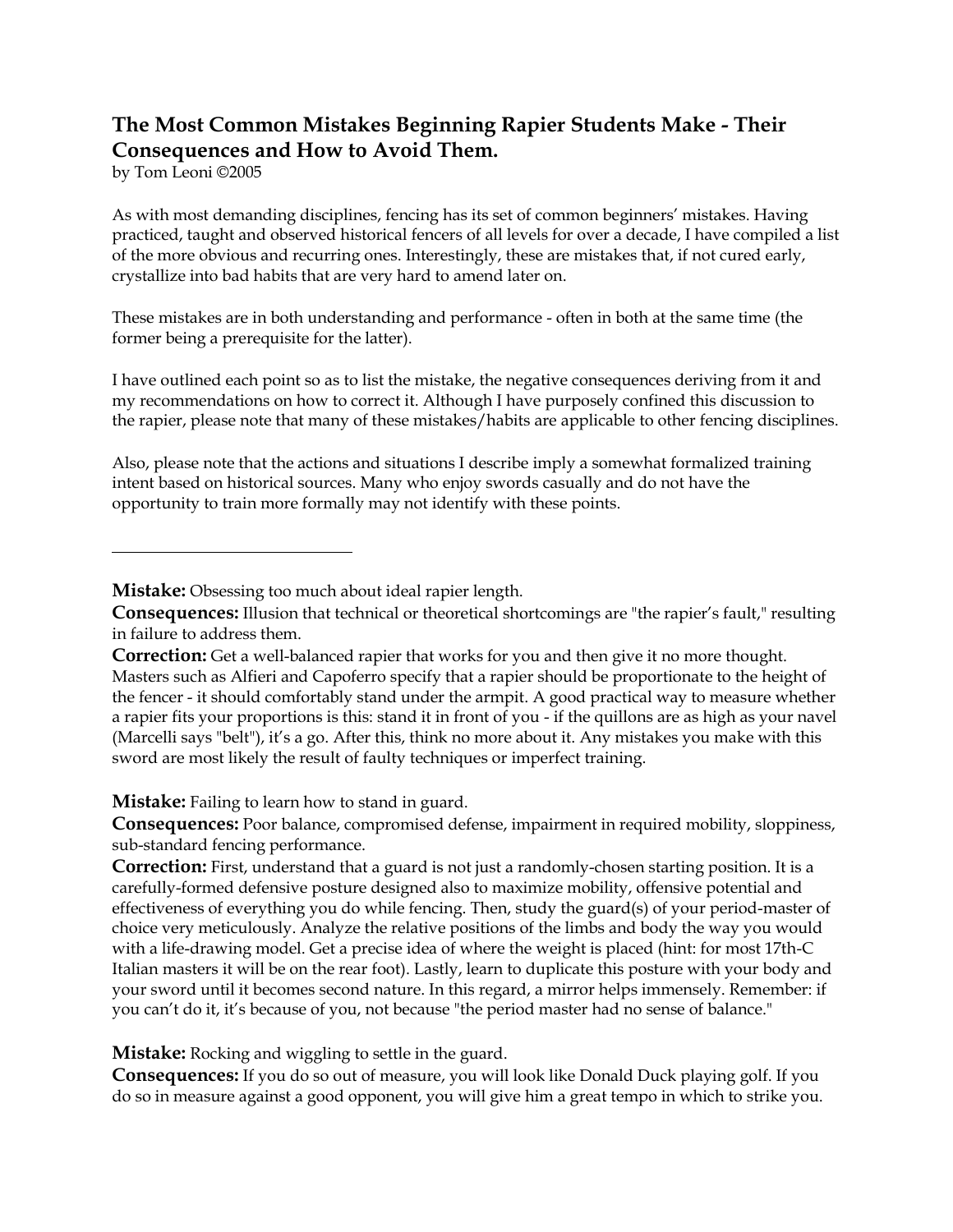## **The Most Common Mistakes Beginning Rapier Students Make - Their Consequences and How to Avoid Them.**

by Tom Leoni ©2005

As with most demanding disciplines, fencing has its set of common beginners' mistakes. Having practiced, taught and observed historical fencers of all levels for over a decade, I have compiled a list of the more obvious and recurring ones. Interestingly, these are mistakes that, if not cured early, crystallize into bad habits that are very hard to amend later on.

These mistakes are in both understanding and performance - often in both at the same time (the former being a prerequisite for the latter).

I have outlined each point so as to list the mistake, the negative consequences deriving from it and my recommendations on how to correct it. Although I have purposely confined this discussion to the rapier, please note that many of these mistakes/habits are applicable to other fencing disciplines.

Also, please note that the actions and situations I describe imply a somewhat formalized training intent based on historical sources. Many who enjoy swords casually and do not have the opportunity to train more formally may not identify with these points.

**Mistake:** Obsessing too much about ideal rapier length.

**Mistake:** Failing to learn how to stand in guard.

**Consequences:** Poor balance, compromised defense, impairment in required mobility, sloppiness, sub-standard fencing performance.

**Correction:** First, understand that a guard is not just a randomly-chosen starting position. It is a carefully-formed defensive posture designed also to maximize mobility, offensive potential and effectiveness of everything you do while fencing. Then, study the guard(s) of your period-master of choice very meticulously. Analyze the relative positions of the limbs and body the way you would with a life-drawing model. Get a precise idea of where the weight is placed (hint: for most 17th-C Italian masters it will be on the rear foot). Lastly, learn to duplicate this posture with your body and your sword until it becomes second nature. In this regard, a mirror helps immensely. Remember: if you can't do it, it's because of you, not because "the period master had no sense of balance."

**Mistake:** Rocking and wiggling to settle in the guard.

**Consequences:** If you do so out of measure, you will look like Donald Duck playing golf. If you do so in measure against a good opponent, you will give him a great tempo in which to strike you.

**Consequences:** Illusion that technical or theoretical shortcomings are "the rapier's fault," resulting in failure to address them.

**Correction:** Get a well-balanced rapier that works for you and then give it no more thought. Masters such as Alfieri and Capoferro specify that a rapier should be proportionate to the height of the fencer - it should comfortably stand under the armpit. A good practical way to measure whether a rapier fits your proportions is this: stand it in front of you - if the quillons are as high as your navel (Marcelli says "belt"), it's a go. After this, think no more about it. Any mistakes you make with this sword are most likely the result of faulty techniques or imperfect training.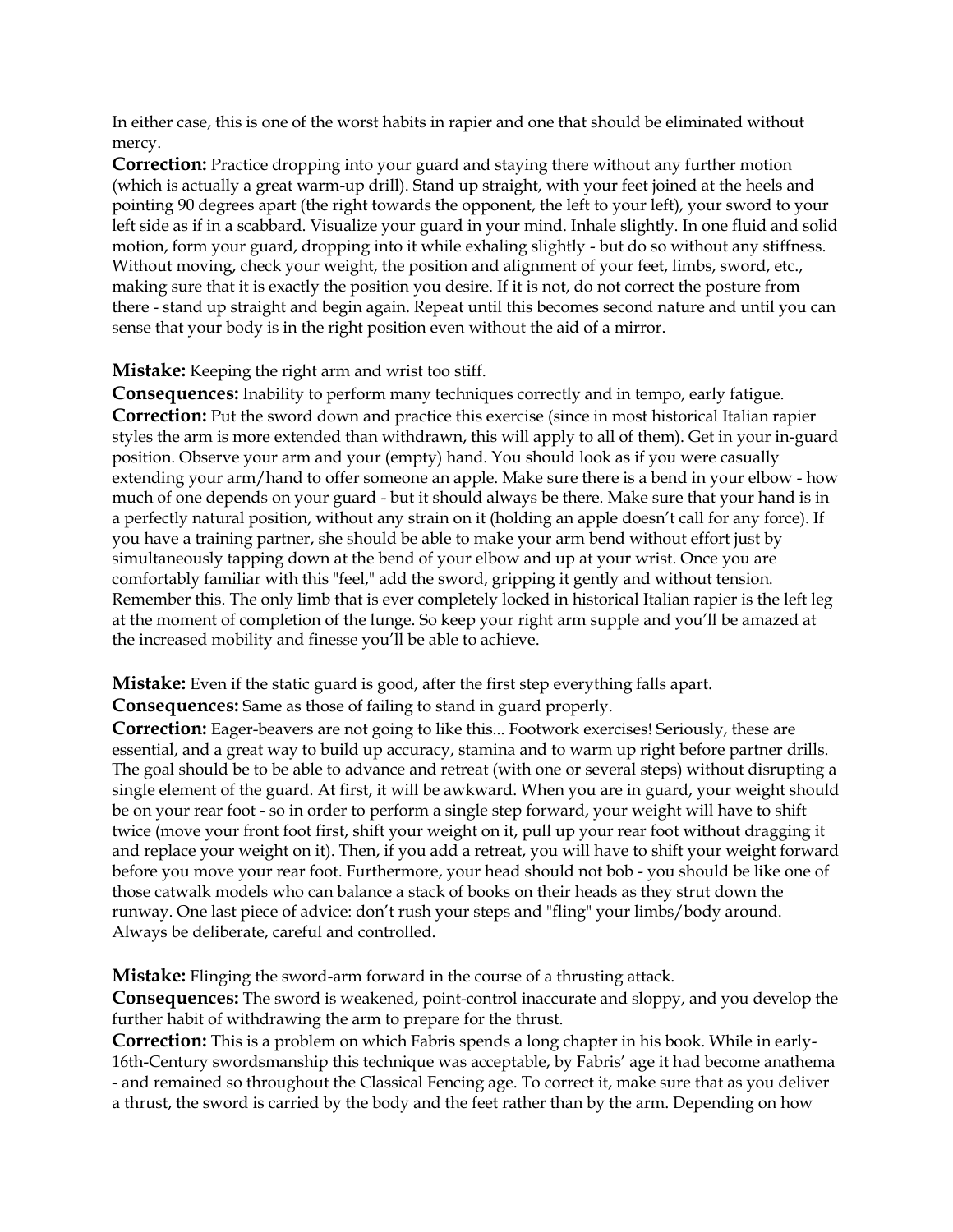In either case, this is one of the worst habits in rapier and one that should be eliminated without mercy.

**Correction:** Practice dropping into your guard and staying there without any further motion (which is actually a great warm-up drill). Stand up straight, with your feet joined at the heels and pointing 90 degrees apart (the right towards the opponent, the left to your left), your sword to your left side as if in a scabbard. Visualize your guard in your mind. Inhale slightly. In one fluid and solid motion, form your guard, dropping into it while exhaling slightly - but do so without any stiffness. Without moving, check your weight, the position and alignment of your feet, limbs, sword, etc., making sure that it is exactly the position you desire. If it is not, do not correct the posture from there - stand up straight and begin again. Repeat until this becomes second nature and until you can sense that your body is in the right position even without the aid of a mirror.

**Mistake:** Keeping the right arm and wrist too stiff.

**Consequences:** Inability to perform many techniques correctly and in tempo, early fatigue. **Correction:** Put the sword down and practice this exercise (since in most historical Italian rapier styles the arm is more extended than withdrawn, this will apply to all of them). Get in your in-guard position. Observe your arm and your (empty) hand. You should look as if you were casually extending your arm/hand to offer someone an apple. Make sure there is a bend in your elbow - how much of one depends on your guard - but it should always be there. Make sure that your hand is in a perfectly natural position, without any strain on it (holding an apple doesn't call for any force). If you have a training partner, she should be able to make your arm bend without effort just by simultaneously tapping down at the bend of your elbow and up at your wrist. Once you are comfortably familiar with this "feel," add the sword, gripping it gently and without tension. Remember this. The only limb that is ever completely locked in historical Italian rapier is the left leg at the moment of completion of the lunge. So keep your right arm supple and you'll be amazed at the increased mobility and finesse you'll be able to achieve.

**Mistake:** Even if the static guard is good, after the first step everything falls apart.

**Consequences:** Same as those of failing to stand in guard properly.

**Correction:** Eager-beavers are not going to like this... Footwork exercises! Seriously, these are essential, and a great way to build up accuracy, stamina and to warm up right before partner drills. The goal should be to be able to advance and retreat (with one or several steps) without disrupting a single element of the guard. At first, it will be awkward. When you are in guard, your weight should be on your rear foot - so in order to perform a single step forward, your weight will have to shift twice (move your front foot first, shift your weight on it, pull up your rear foot without dragging it and replace your weight on it). Then, if you add a retreat, you will have to shift your weight forward before you move your rear foot. Furthermore, your head should not bob - you should be like one of those catwalk models who can balance a stack of books on their heads as they strut down the runway. One last piece of advice: don't rush your steps and "fling" your limbs/body around. Always be deliberate, careful and controlled.

**Mistake:** Flinging the sword-arm forward in the course of a thrusting attack.

**Consequences:** The sword is weakened, point-control inaccurate and sloppy, and you develop the further habit of withdrawing the arm to prepare for the thrust.

**Correction:** This is a problem on which Fabris spends a long chapter in his book. While in early-16th-Century swordsmanship this technique was acceptable, by Fabris' age it had become anathema - and remained so throughout the Classical Fencing age. To correct it, make sure that as you deliver a thrust, the sword is carried by the body and the feet rather than by the arm. Depending on how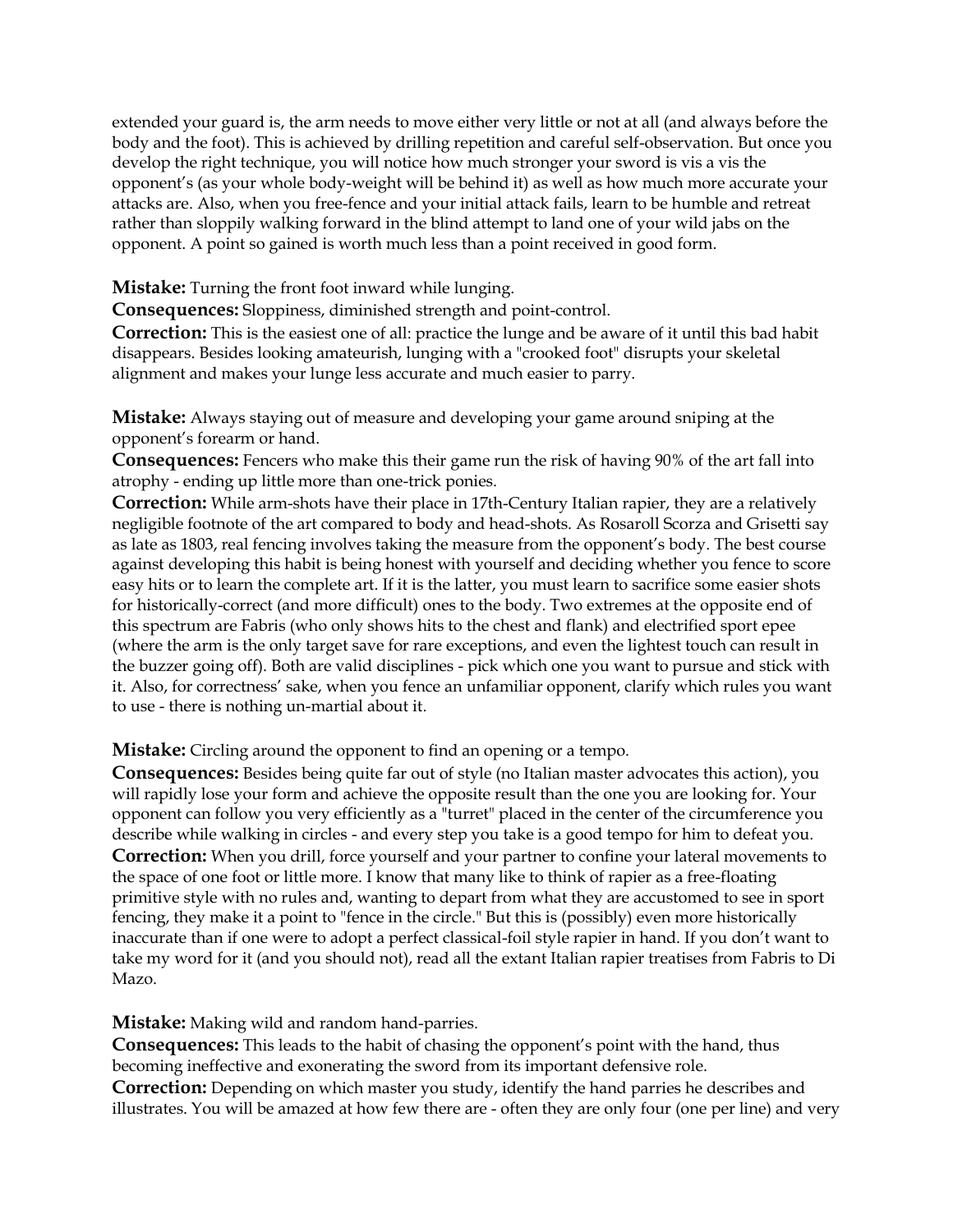extended your guard is, the arm needs to move either very little or not at all (and always before the body and the foot). This is achieved by drilling repetition and careful self-observation. But once you develop the right technique, you will notice how much stronger your sword is vis a vis the opponent's (as your whole body-weight will be behind it) as well as how much more accurate your attacks are. Also, when you free-fence and your initial attack fails, learn to be humble and retreat rather than sloppily walking forward in the blind attempt to land one of your wild jabs on the opponent. A point so gained is worth much less than a point received in good form.

**Mistake:** Turning the front foot inward while lunging.

**Consequences:** Sloppiness, diminished strength and point-control.

**Correction:** This is the easiest one of all: practice the lunge and be aware of it until this bad habit disappears. Besides looking amateurish, lunging with a "crooked foot" disrupts your skeletal alignment and makes your lunge less accurate and much easier to parry.

**Mistake:** Always staying out of measure and developing your game around sniping at the opponent's forearm or hand.

**Consequences:** Fencers who make this their game run the risk of having 90% of the art fall into atrophy - ending up little more than one-trick ponies.

**Correction:** While arm-shots have their place in 17th-Century Italian rapier, they are a relatively negligible footnote of the art compared to body and head-shots. As Rosaroll Scorza and Grisetti say as late as 1803, real fencing involves taking the measure from the opponent's body. The best course against developing this habit is being honest with yourself and deciding whether you fence to score easy hits or to learn the complete art. If it is the latter, you must learn to sacrifice some easier shots for historically-correct (and more difficult) ones to the body. Two extremes at the opposite end of this spectrum are Fabris (who only shows hits to the chest and flank) and electrified sport epee (where the arm is the only target save for rare exceptions, and even the lightest touch can result in the buzzer going off). Both are valid disciplines - pick which one you want to pursue and stick with it. Also, for correctness' sake, when you fence an unfamiliar opponent, clarify which rules you want to use - there is nothing un-martial about it.

**Mistake:** Circling around the opponent to find an opening or a tempo.

**Consequences:** Besides being quite far out of style (no Italian master advocates this action), you will rapidly lose your form and achieve the opposite result than the one you are looking for. Your opponent can follow you very efficiently as a "turret" placed in the center of the circumference you describe while walking in circles - and every step you take is a good tempo for him to defeat you. **Correction:** When you drill, force yourself and your partner to confine your lateral movements to the space of one foot or little more. I know that many like to think of rapier as a free-floating primitive style with no rules and, wanting to depart from what they are accustomed to see in sport fencing, they make it a point to "fence in the circle." But this is (possibly) even more historically inaccurate than if one were to adopt a perfect classical-foil style rapier in hand. If you don't want to take my word for it (and you should not), read all the extant Italian rapier treatises from Fabris to Di Mazo.

**Mistake:** Making wild and random hand-parries.

**Consequences:** This leads to the habit of chasing the opponent's point with the hand, thus becoming ineffective and exonerating the sword from its important defensive role.

**Correction:** Depending on which master you study, identify the hand parries he describes and illustrates. You will be amazed at how few there are - often they are only four (one per line) and very